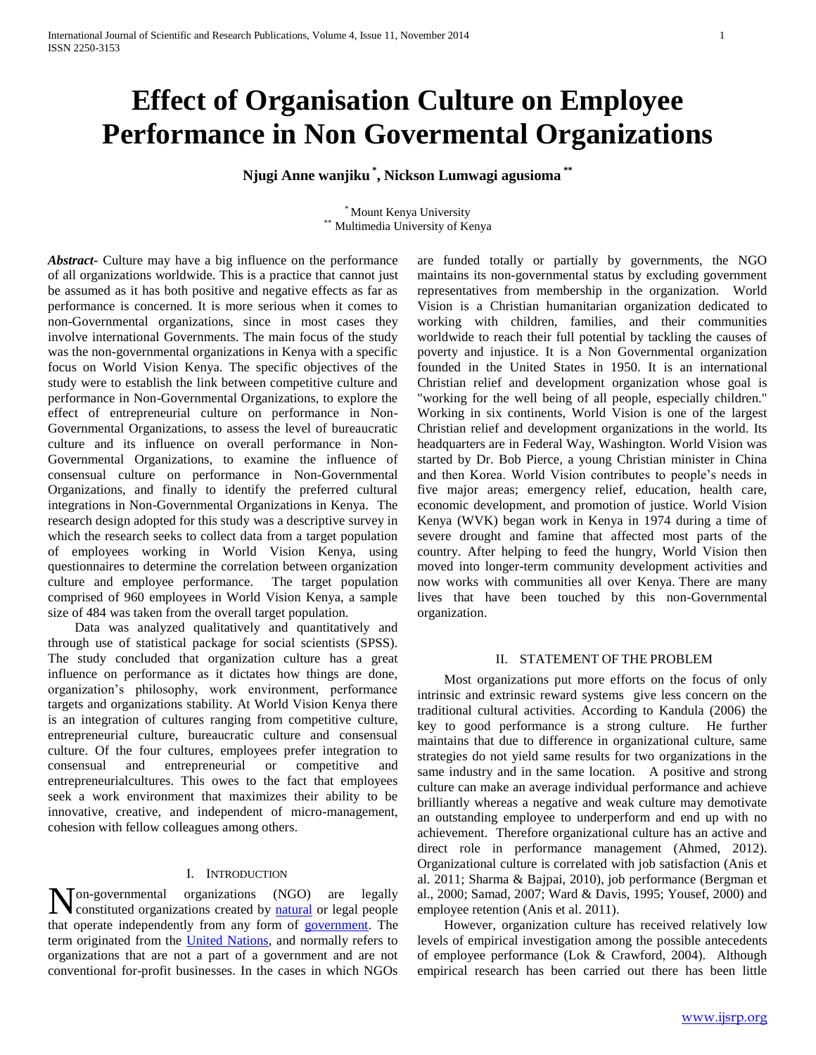# **Effect of Organisation Culture on Employee Performance in Non Govermental Organizations**

**Njugi Anne wanjiku \* , Nickson Lumwagi agusioma \*\***

\* Mount Kenya University Multimedia University of Kenya

*Abstract***-** Culture may have a big influence on the performance of all organizations worldwide. This is a practice that cannot just be assumed as it has both positive and negative effects as far as performance is concerned. It is more serious when it comes to non-Governmental organizations, since in most cases they involve international Governments. The main focus of the study was the non-governmental organizations in Kenya with a specific focus on World Vision Kenya. The specific objectives of the study were to establish the link between competitive culture and performance in Non-Governmental Organizations, to explore the effect of entrepreneurial culture on performance in Non-Governmental Organizations, to assess the level of bureaucratic culture and its influence on overall performance in Non-Governmental Organizations, to examine the influence of consensual culture on performance in Non-Governmental Organizations, and finally to identify the preferred cultural integrations in Non-Governmental Organizations in Kenya. The research design adopted for this study was a descriptive survey in which the research seeks to collect data from a target population of employees working in World Vision Kenya, using questionnaires to determine the correlation between organization culture and employee performance. The target population comprised of 960 employees in World Vision Kenya, a sample size of 484 was taken from the overall target population.

 Data was analyzed qualitatively and quantitatively and through use of statistical package for social scientists (SPSS). The study concluded that organization culture has a great influence on performance as it dictates how things are done, organization"s philosophy, work environment, performance targets and organizations stability. At World Vision Kenya there is an integration of cultures ranging from competitive culture, entrepreneurial culture, bureaucratic culture and consensual culture. Of the four cultures, employees prefer integration to consensual and entrepreneurial or competitive and entrepreneurialcultures. This owes to the fact that employees seek a work environment that maximizes their ability to be innovative, creative, and independent of micro-management, cohesion with fellow colleagues among others.

## I. INTRODUCTION

organizations (NGO) are legally constituted organizations created by [natural](http://en.wikipedia.org/wiki/Natural_person) or legal people that operate independently from any form of [government.](http://en.wikipedia.org/wiki/Government) The term originated from the [United Nations,](http://en.wikipedia.org/wiki/United_Nations) and normally refers to organizations that are not a part of a government and are not conventional for-profit businesses. In the cases in which NGOs  $N_{\text{concati}}^{\text{on-gevernmental}}$ 

are funded totally or partially by governments, the NGO maintains its non-governmental status by excluding government representatives from membership in the organization. World Vision is a Christian humanitarian organization dedicated to working with children, families, and their communities worldwide to reach their full potential by tackling the causes of poverty and injustice. It is a Non Governmental organization founded in the United States in 1950. It is an international Christian relief and development organization whose goal is "working for the well being of all people, especially children." Working in six continents, World Vision is one of the largest Christian relief and development organizations in the world. Its headquarters are in Federal Way, Washington. World Vision was started by Dr. Bob Pierce, a young Christian minister in China and then Korea. World Vision contributes to people"s needs in five major areas; emergency relief, education, health care, economic development, and promotion of justice. World Vision Kenya (WVK) began work in Kenya in 1974 during a time of severe drought and famine that affected most parts of the country. After helping to feed the hungry, World Vision then moved into longer-term community development activities and now works with communities all over Kenya. There are many lives that have been touched by this non-Governmental organization.

# II. STATEMENT OF THE PROBLEM

 Most organizations put more efforts on the focus of only intrinsic and extrinsic reward systems give less concern on the traditional cultural activities. According to Kandula (2006) the key to good performance is a strong culture. He further maintains that due to difference in organizational culture, same strategies do not yield same results for two organizations in the same industry and in the same location. A positive and strong culture can make an average individual performance and achieve brilliantly whereas a negative and weak culture may demotivate an outstanding employee to underperform and end up with no achievement. Therefore organizational culture has an active and direct role in performance management (Ahmed, 2012). Organizational culture is correlated with job satisfaction (Anis et al. 2011; Sharma & Bajpai, 2010), job performance (Bergman et al., 2000; Samad, 2007; Ward & Davis, 1995; Yousef, 2000) and employee retention (Anis et al. 2011).

 However, organization culture has received relatively low levels of empirical investigation among the possible antecedents of employee performance (Lok & Crawford, 2004). Although empirical research has been carried out there has been little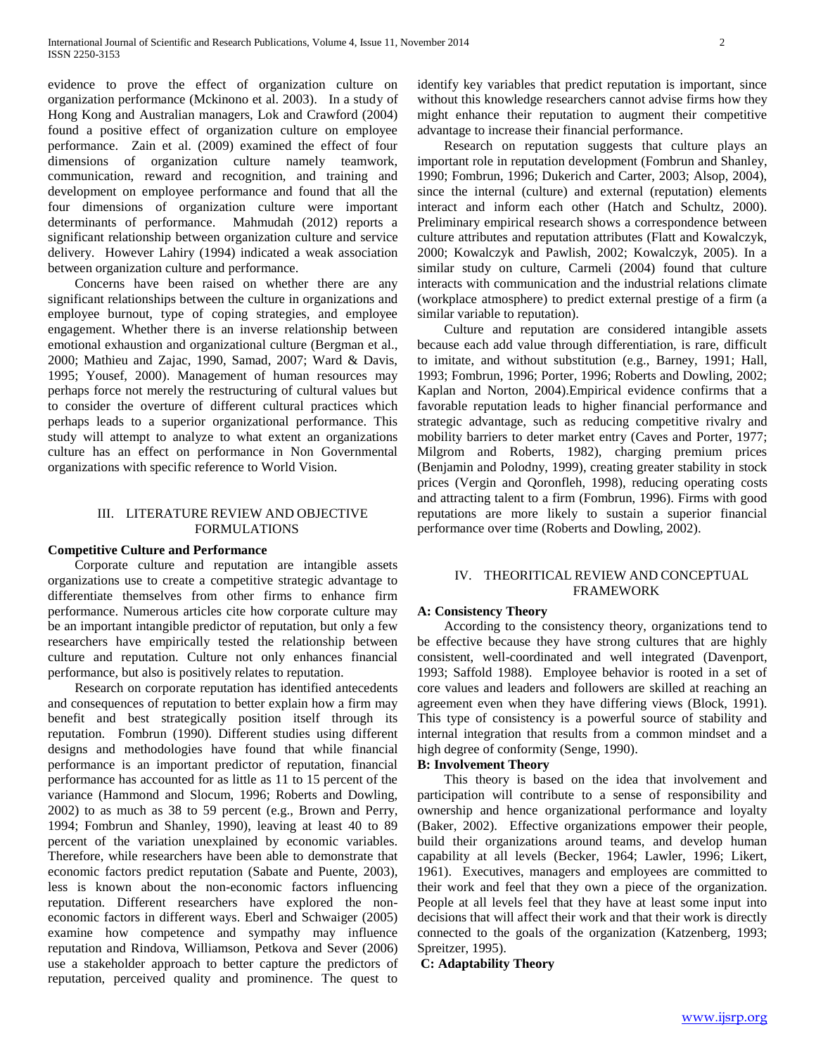evidence to prove the effect of organization culture on organization performance (Mckinono et al. 2003). In a study of Hong Kong and Australian managers, Lok and Crawford (2004) found a positive effect of organization culture on employee performance. Zain et al. (2009) examined the effect of four dimensions of organization culture namely teamwork, communication, reward and recognition, and training and development on employee performance and found that all the four dimensions of organization culture were important determinants of performance. Mahmudah (2012) reports a significant relationship between organization culture and service delivery. However Lahiry (1994) indicated a weak association between organization culture and performance.

 Concerns have been raised on whether there are any significant relationships between the culture in organizations and employee burnout, type of coping strategies, and employee engagement. Whether there is an inverse relationship between emotional exhaustion and organizational culture (Bergman et al., 2000; Mathieu and Zajac, 1990, Samad, 2007; Ward & Davis, 1995; Yousef, 2000). Management of human resources may perhaps force not merely the restructuring of cultural values but to consider the overture of different cultural practices which perhaps leads to a superior organizational performance. This study will attempt to analyze to what extent an organizations culture has an effect on performance in Non Governmental organizations with specific reference to World Vision.

# III. LITERATURE REVIEW AND OBJECTIVE FORMULATIONS

# **Competitive Culture and Performance**

 Corporate culture and reputation are intangible assets organizations use to create a competitive strategic advantage to differentiate themselves from other firms to enhance firm performance. Numerous articles cite how corporate culture may be an important intangible predictor of reputation, but only a few researchers have empirically tested the relationship between culture and reputation. Culture not only enhances financial performance, but also is positively relates to reputation.

 Research on corporate reputation has identified antecedents and consequences of reputation to better explain how a firm may benefit and best strategically position itself through its reputation. Fombrun (1990). Different studies using different designs and methodologies have found that while financial performance is an important predictor of reputation, financial performance has accounted for as little as 11 to 15 percent of the variance (Hammond and Slocum, 1996; Roberts and Dowling, 2002) to as much as 38 to 59 percent (e.g., Brown and Perry, 1994; Fombrun and Shanley, 1990), leaving at least 40 to 89 percent of the variation unexplained by economic variables. Therefore, while researchers have been able to demonstrate that economic factors predict reputation (Sabate and Puente, 2003), less is known about the non-economic factors influencing reputation. Different researchers have explored the noneconomic factors in different ways. Eberl and Schwaiger (2005) examine how competence and sympathy may influence reputation and Rindova, Williamson, Petkova and Sever (2006) use a stakeholder approach to better capture the predictors of reputation, perceived quality and prominence. The quest to identify key variables that predict reputation is important, since without this knowledge researchers cannot advise firms how they might enhance their reputation to augment their competitive advantage to increase their financial performance.

 Research on reputation suggests that culture plays an important role in reputation development (Fombrun and Shanley, 1990; Fombrun, 1996; Dukerich and Carter, 2003; Alsop, 2004), since the internal (culture) and external (reputation) elements interact and inform each other (Hatch and Schultz, 2000). Preliminary empirical research shows a correspondence between culture attributes and reputation attributes (Flatt and Kowalczyk, 2000; Kowalczyk and Pawlish, 2002; Kowalczyk, 2005). In a similar study on culture, Carmeli (2004) found that culture interacts with communication and the industrial relations climate (workplace atmosphere) to predict external prestige of a firm (a similar variable to reputation).

 Culture and reputation are considered intangible assets because each add value through differentiation, is rare, difficult to imitate, and without substitution (e.g., Barney, 1991; Hall, 1993; Fombrun, 1996; Porter, 1996; Roberts and Dowling, 2002; Kaplan and Norton, 2004).Empirical evidence confirms that a favorable reputation leads to higher financial performance and strategic advantage, such as reducing competitive rivalry and mobility barriers to deter market entry (Caves and Porter, 1977; Milgrom and Roberts, 1982), charging premium prices (Benjamin and Polodny, 1999), creating greater stability in stock prices (Vergin and Qoronfleh, 1998), reducing operating costs and attracting talent to a firm (Fombrun, 1996). Firms with good reputations are more likely to sustain a superior financial performance over time (Roberts and Dowling, 2002).

# IV. THEORITICAL REVIEW AND CONCEPTUAL FRAMEWORK

#### **A: Consistency Theory**

 According to the consistency theory, organizations tend to be effective because they have strong cultures that are highly consistent, well-coordinated and well integrated (Davenport, 1993; Saffold 1988). Employee behavior is rooted in a set of core values and leaders and followers are skilled at reaching an agreement even when they have differing views (Block, 1991). This type of consistency is a powerful source of stability and internal integration that results from a common mindset and a high degree of conformity (Senge, 1990).

# **B: Involvement Theory**

 This theory is based on the idea that involvement and participation will contribute to a sense of responsibility and ownership and hence organizational performance and loyalty (Baker, 2002). Effective organizations empower their people, build their organizations around teams, and develop human capability at all levels (Becker, 1964; Lawler, 1996; Likert, 1961). Executives, managers and employees are committed to their work and feel that they own a piece of the organization. People at all levels feel that they have at least some input into decisions that will affect their work and that their work is directly connected to the goals of the organization (Katzenberg, 1993; Spreitzer, 1995).

**C: Adaptability Theory**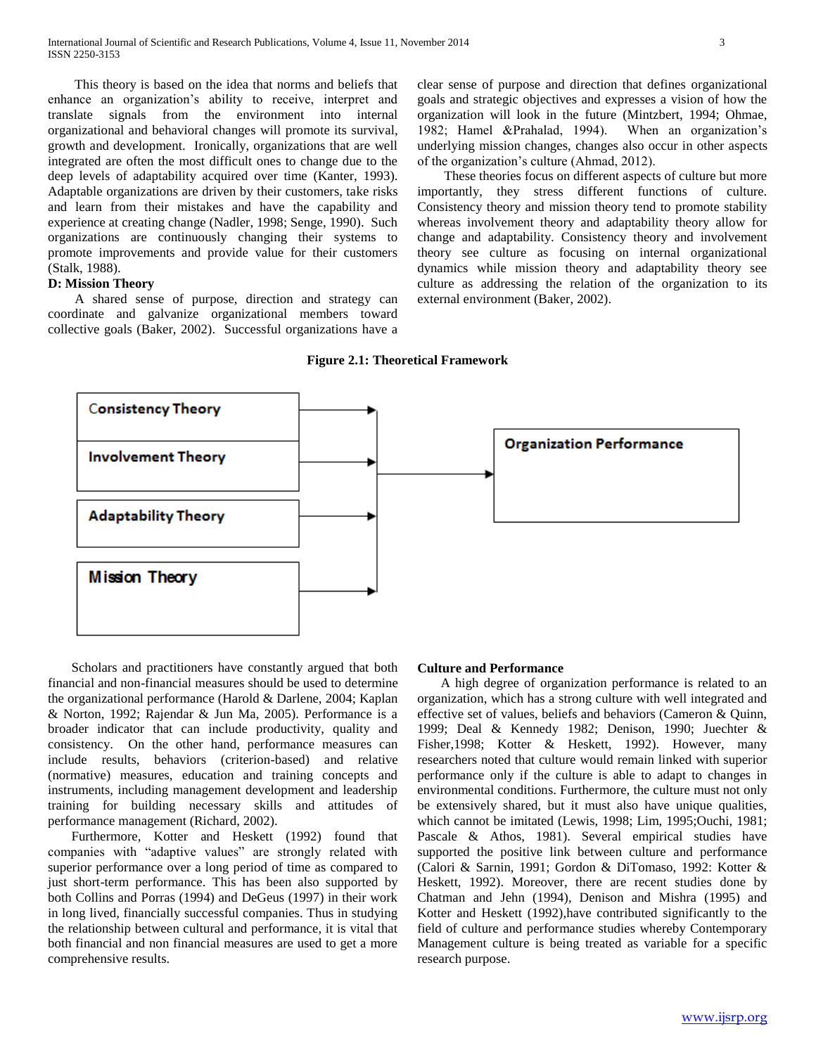This theory is based on the idea that norms and beliefs that enhance an organization"s ability to receive, interpret and translate signals from the environment into internal organizational and behavioral changes will promote its survival, growth and development. Ironically, organizations that are well integrated are often the most difficult ones to change due to the deep levels of adaptability acquired over time (Kanter, 1993). Adaptable organizations are driven by their customers, take risks and learn from their mistakes and have the capability and experience at creating change (Nadler, 1998; Senge, 1990). Such organizations are continuously changing their systems to promote improvements and provide value for their customers (Stalk, 1988).

# **D: Mission Theory**

 A shared sense of purpose, direction and strategy can coordinate and galvanize organizational members toward collective goals (Baker, 2002). Successful organizations have a clear sense of purpose and direction that defines organizational goals and strategic objectives and expresses a vision of how the organization will look in the future (Mintzbert, 1994; Ohmae, 1982; Hamel &Prahalad, 1994). When an organization"s underlying mission changes, changes also occur in other aspects of the organization"s culture (Ahmad, 2012).

 These theories focus on different aspects of culture but more importantly, they stress different functions of culture. Consistency theory and mission theory tend to promote stability whereas involvement theory and adaptability theory allow for change and adaptability. Consistency theory and involvement theory see culture as focusing on internal organizational dynamics while mission theory and adaptability theory see culture as addressing the relation of the organization to its external environment (Baker, 2002).

#### **Figure 2.1: Theoretical Framework**



 Scholars and practitioners have constantly argued that both financial and non-financial measures should be used to determine the organizational performance (Harold & Darlene, 2004; Kaplan & Norton, 1992; Rajendar & Jun Ma, 2005). Performance is a broader indicator that can include productivity, quality and consistency. On the other hand, performance measures can include results, behaviors (criterion-based) and relative (normative) measures, education and training concepts and instruments, including management development and leadership training for building necessary skills and attitudes of performance management (Richard, 2002).

 Furthermore, Kotter and Heskett (1992) found that companies with "adaptive values" are strongly related with superior performance over a long period of time as compared to just short-term performance. This has been also supported by both Collins and Porras (1994) and DeGeus (1997) in their work in long lived, financially successful companies. Thus in studying the relationship between cultural and performance, it is vital that both financial and non financial measures are used to get a more comprehensive results.

#### **Culture and Performance**

 A high degree of organization performance is related to an organization, which has a strong culture with well integrated and effective set of values, beliefs and behaviors (Cameron & Quinn, 1999; Deal & Kennedy 1982; Denison, 1990; Juechter & Fisher,1998; Kotter & Heskett, 1992). However, many researchers noted that culture would remain linked with superior performance only if the culture is able to adapt to changes in environmental conditions. Furthermore, the culture must not only be extensively shared, but it must also have unique qualities, which cannot be imitated (Lewis, 1998; Lim, 1995;Ouchi, 1981; Pascale & Athos, 1981). Several empirical studies have supported the positive link between culture and performance (Calori & Sarnin, 1991; Gordon & DiTomaso, 1992: Kotter & Heskett, 1992). Moreover, there are recent studies done by Chatman and Jehn (1994), Denison and Mishra (1995) and Kotter and Heskett (1992),have contributed significantly to the field of culture and performance studies whereby Contemporary Management culture is being treated as variable for a specific research purpose.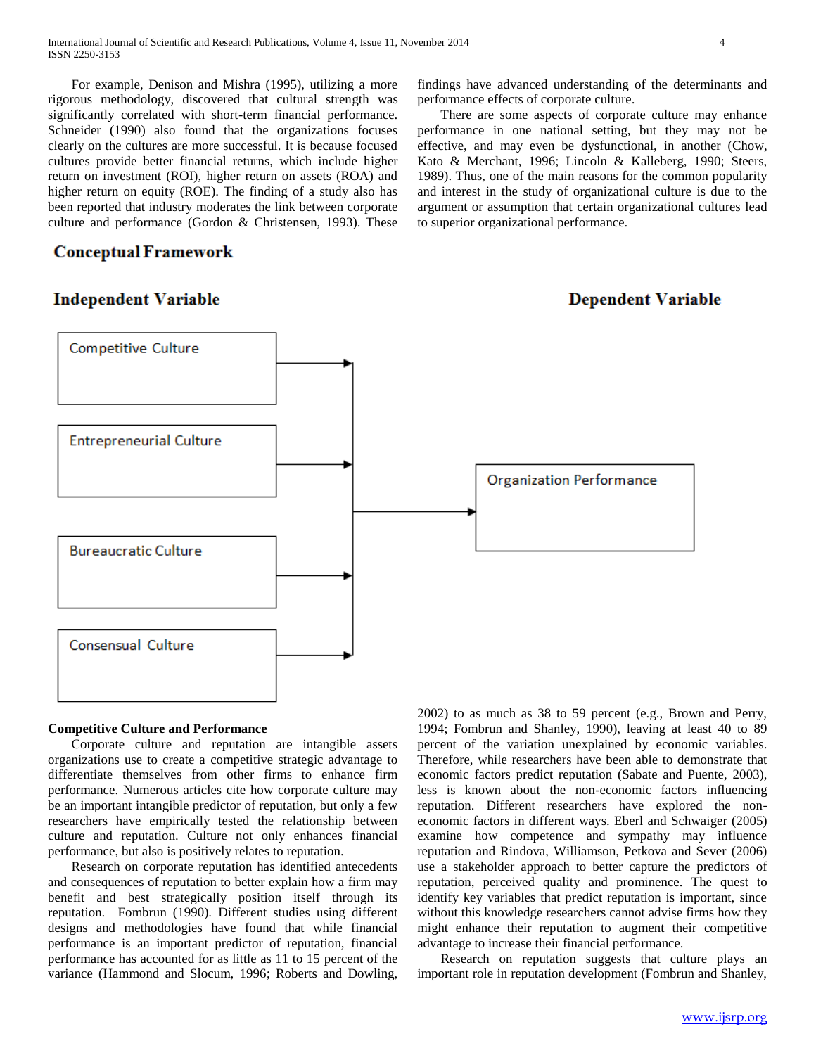For example, Denison and Mishra (1995), utilizing a more rigorous methodology, discovered that cultural strength was significantly correlated with short-term financial performance. Schneider (1990) also found that the organizations focuses clearly on the cultures are more successful. It is because focused cultures provide better financial returns, which include higher return on investment (ROI), higher return on assets (ROA) and higher return on equity (ROE). The finding of a study also has been reported that industry moderates the link between corporate culture and performance (Gordon & Christensen, 1993). These

# **Conceptual Framework**

# **Independent Variable**



 There are some aspects of corporate culture may enhance performance in one national setting, but they may not be effective, and may even be dysfunctional, in another (Chow, Kato & Merchant, 1996; Lincoln & Kalleberg, 1990; Steers, 1989). Thus, one of the main reasons for the common popularity and interest in the study of organizational culture is due to the argument or assumption that certain organizational cultures lead to superior organizational performance.

# **Dependent Variable**



# **Competitive Culture and Performance**

 Corporate culture and reputation are intangible assets organizations use to create a competitive strategic advantage to differentiate themselves from other firms to enhance firm performance. Numerous articles cite how corporate culture may be an important intangible predictor of reputation, but only a few researchers have empirically tested the relationship between culture and reputation. Culture not only enhances financial performance, but also is positively relates to reputation.

 Research on corporate reputation has identified antecedents and consequences of reputation to better explain how a firm may benefit and best strategically position itself through its reputation. Fombrun (1990). Different studies using different designs and methodologies have found that while financial performance is an important predictor of reputation, financial performance has accounted for as little as 11 to 15 percent of the variance (Hammond and Slocum, 1996; Roberts and Dowling,

2002) to as much as 38 to 59 percent (e.g., Brown and Perry, 1994; Fombrun and Shanley, 1990), leaving at least 40 to 89 percent of the variation unexplained by economic variables. Therefore, while researchers have been able to demonstrate that economic factors predict reputation (Sabate and Puente, 2003), less is known about the non-economic factors influencing reputation. Different researchers have explored the noneconomic factors in different ways. Eberl and Schwaiger (2005) examine how competence and sympathy may influence reputation and Rindova, Williamson, Petkova and Sever (2006) use a stakeholder approach to better capture the predictors of reputation, perceived quality and prominence. The quest to identify key variables that predict reputation is important, since without this knowledge researchers cannot advise firms how they might enhance their reputation to augment their competitive advantage to increase their financial performance.

 Research on reputation suggests that culture plays an important role in reputation development (Fombrun and Shanley,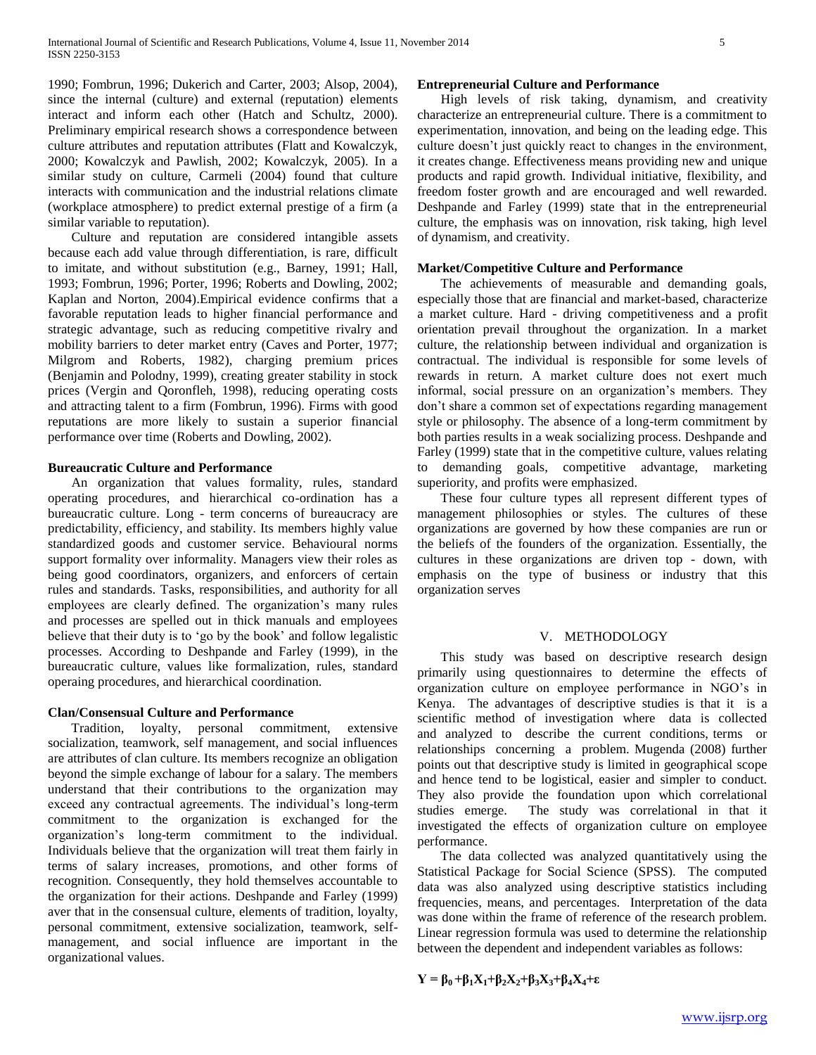1990; Fombrun, 1996; Dukerich and Carter, 2003; Alsop, 2004), since the internal (culture) and external (reputation) elements interact and inform each other (Hatch and Schultz, 2000). Preliminary empirical research shows a correspondence between culture attributes and reputation attributes (Flatt and Kowalczyk, 2000; Kowalczyk and Pawlish, 2002; Kowalczyk, 2005). In a similar study on culture, Carmeli (2004) found that culture interacts with communication and the industrial relations climate (workplace atmosphere) to predict external prestige of a firm (a similar variable to reputation).

 Culture and reputation are considered intangible assets because each add value through differentiation, is rare, difficult to imitate, and without substitution (e.g., Barney, 1991; Hall, 1993; Fombrun, 1996; Porter, 1996; Roberts and Dowling, 2002; Kaplan and Norton, 2004).Empirical evidence confirms that a favorable reputation leads to higher financial performance and strategic advantage, such as reducing competitive rivalry and mobility barriers to deter market entry (Caves and Porter, 1977; Milgrom and Roberts, 1982), charging premium prices (Benjamin and Polodny, 1999), creating greater stability in stock prices (Vergin and Qoronfleh, 1998), reducing operating costs and attracting talent to a firm (Fombrun, 1996). Firms with good reputations are more likely to sustain a superior financial performance over time (Roberts and Dowling, 2002).

# **Bureaucratic Culture and Performance**

 An organization that values formality, rules, standard operating procedures, and hierarchical co-ordination has a bureaucratic culture. Long - term concerns of bureaucracy are predictability, efficiency, and stability. Its members highly value standardized goods and customer service. Behavioural norms support formality over informality. Managers view their roles as being good coordinators, organizers, and enforcers of certain rules and standards. Tasks, responsibilities, and authority for all employees are clearly defined. The organization's many rules and processes are spelled out in thick manuals and employees believe that their duty is to "go by the book" and follow legalistic processes. According to Deshpande and Farley (1999), in the bureaucratic culture, values like formalization, rules, standard operaing procedures, and hierarchical coordination.

#### **Clan/Consensual Culture and Performance**

 Tradition, loyalty, personal commitment, extensive socialization, teamwork, self management, and social influences are attributes of clan culture. Its members recognize an obligation beyond the simple exchange of labour for a salary. The members understand that their contributions to the organization may exceed any contractual agreements. The individual's long-term commitment to the organization is exchanged for the organization"s long-term commitment to the individual. Individuals believe that the organization will treat them fairly in terms of salary increases, promotions, and other forms of recognition. Consequently, they hold themselves accountable to the organization for their actions. Deshpande and Farley (1999) aver that in the consensual culture, elements of tradition, loyalty, personal commitment, extensive socialization, teamwork, selfmanagement, and social influence are important in the organizational values.

# **Entrepreneurial Culture and Performance**

 High levels of risk taking, dynamism, and creativity characterize an entrepreneurial culture. There is a commitment to experimentation, innovation, and being on the leading edge. This culture doesn"t just quickly react to changes in the environment, it creates change. Effectiveness means providing new and unique products and rapid growth. Individual initiative, flexibility, and freedom foster growth and are encouraged and well rewarded. Deshpande and Farley (1999) state that in the entrepreneurial culture, the emphasis was on innovation, risk taking, high level of dynamism, and creativity.

#### **Market/Competitive Culture and Performance**

 The achievements of measurable and demanding goals, especially those that are financial and market-based, characterize a market culture. Hard - driving competitiveness and a profit orientation prevail throughout the organization. In a market culture, the relationship between individual and organization is contractual. The individual is responsible for some levels of rewards in return. A market culture does not exert much informal, social pressure on an organization"s members. They don"t share a common set of expectations regarding management style or philosophy. The absence of a long-term commitment by both parties results in a weak socializing process. Deshpande and Farley (1999) state that in the competitive culture, values relating to demanding goals, competitive advantage, marketing superiority, and profits were emphasized.

 These four culture types all represent different types of management philosophies or styles. The cultures of these organizations are governed by how these companies are run or the beliefs of the founders of the organization. Essentially, the cultures in these organizations are driven top - down, with emphasis on the type of business or industry that this organization serves

# V. METHODOLOGY

 This study was based on descriptive research design primarily using questionnaires to determine the effects of organization culture on employee performance in NGO"s in Kenya. The advantages of descriptive studies is that it is a scientific method of investigation where data is collected and analyzed to describe the current conditions, terms or relationships concerning a problem. Mugenda (2008) further points out that descriptive study is limited in geographical scope and hence tend to be logistical, easier and simpler to conduct. They also provide the foundation upon which correlational studies emerge. The study was correlational in that it investigated the effects of organization culture on employee performance.

 The data collected was analyzed quantitatively using the Statistical Package for Social Science (SPSS). The computed data was also analyzed using descriptive statistics including frequencies, means, and percentages. Interpretation of the data was done within the frame of reference of the research problem. Linear regression formula was used to determine the relationship between the dependent and independent variables as follows:

$$
Y = \beta_0 + \beta_1 X_1 + \beta_2 X_2 + \beta_3 X_3 + \beta_4 X_4 + \epsilon
$$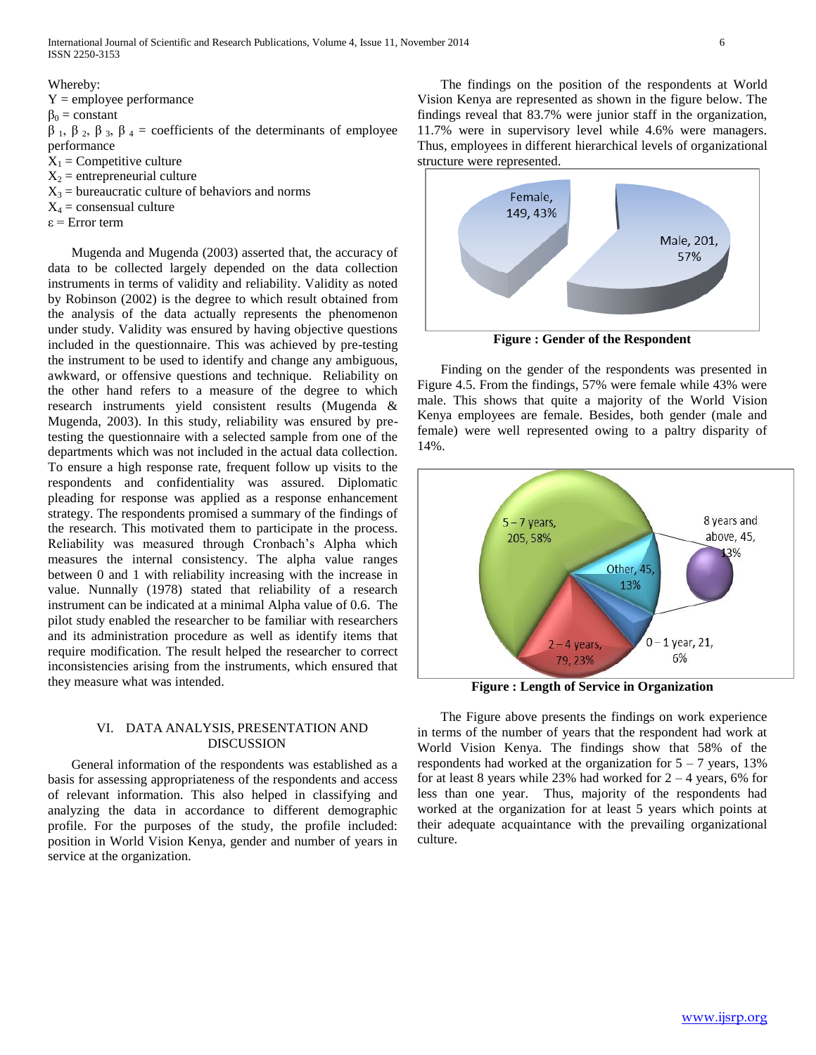International Journal of Scientific and Research Publications, Volume 4, Issue 11, November 2014 6 ISSN 2250-3153

Whereby:  $Y =$ employee performance  $\beta_0$  = constant  $β_1, β_2, β_3, β_4 = coefficients of the determinants of employee$ performance  $X_1$  = Competitive culture  $X_2$  = entrepreneurial culture  $X_3$  = bureaucratic culture of behaviors and norms  $X_4$  = consensual culture

ε = Error term

 Mugenda and Mugenda (2003) asserted that, the accuracy of data to be collected largely depended on the data collection instruments in terms of validity and reliability. Validity as noted by Robinson (2002) is the degree to which result obtained from the analysis of the data actually represents the phenomenon under study. Validity was ensured by having objective questions included in the questionnaire. This was achieved by pre-testing the instrument to be used to identify and change any ambiguous, awkward, or offensive questions and technique. Reliability on the other hand refers to a measure of the degree to which research instruments yield consistent results (Mugenda & Mugenda, 2003). In this study, reliability was ensured by pretesting the questionnaire with a selected sample from one of the departments which was not included in the actual data collection. To ensure a high response rate, frequent follow up visits to the respondents and confidentiality was assured. Diplomatic pleading for response was applied as a response enhancement strategy. The respondents promised a summary of the findings of the research. This motivated them to participate in the process. Reliability was measured through Cronbach"s Alpha which measures the internal consistency. The alpha value ranges between 0 and 1 with reliability increasing with the increase in value. Nunnally (1978) stated that reliability of a research instrument can be indicated at a minimal Alpha value of 0.6. The pilot study enabled the researcher to be familiar with researchers and its administration procedure as well as identify items that require modification. The result helped the researcher to correct inconsistencies arising from the instruments, which ensured that they measure what was intended.

## VI. DATA ANALYSIS, PRESENTATION AND DISCUSSION

 General information of the respondents was established as a basis for assessing appropriateness of the respondents and access of relevant information. This also helped in classifying and analyzing the data in accordance to different demographic profile. For the purposes of the study, the profile included: position in World Vision Kenya, gender and number of years in service at the organization.

 The findings on the position of the respondents at World Vision Kenya are represented as shown in the figure below. The findings reveal that 83.7% were junior staff in the organization, 11.7% were in supervisory level while 4.6% were managers. Thus, employees in different hierarchical levels of organizational structure were represented.



**Figure : Gender of the Respondent**

 Finding on the gender of the respondents was presented in Figure 4.5. From the findings, 57% were female while 43% were male. This shows that quite a majority of the World Vision Kenya employees are female. Besides, both gender (male and female) were well represented owing to a paltry disparity of 14%.



**Figure : Length of Service in Organization**

 The Figure above presents the findings on work experience in terms of the number of years that the respondent had work at World Vision Kenya. The findings show that 58% of the respondents had worked at the organization for  $5 - 7$  years, 13% for at least 8 years while 23% had worked for  $2 - 4$  years, 6% for less than one year. Thus, majority of the respondents had worked at the organization for at least 5 years which points at their adequate acquaintance with the prevailing organizational culture.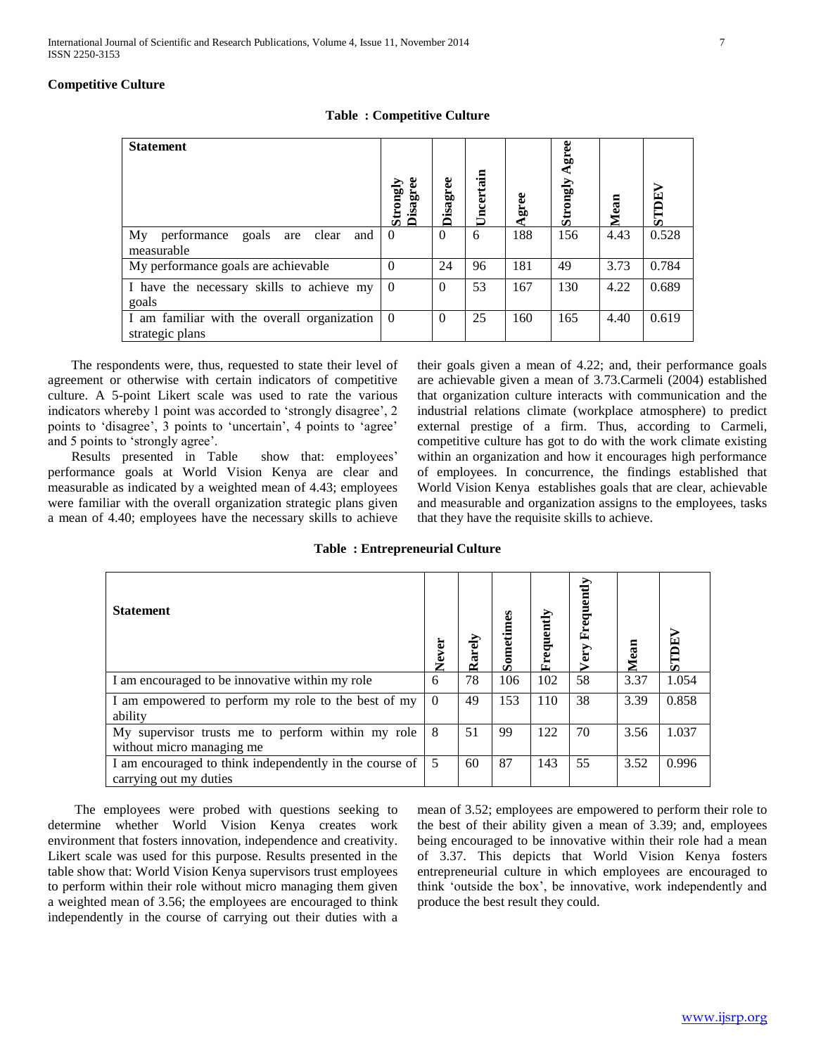# **Competitive Culture**

| <b>Statement</b>                                                | guo<br>Disag<br>$\mathbf{S}$ | Disagree | Uncertain | Agree | varse<br>Strongly | Mean | STDEV |
|-----------------------------------------------------------------|------------------------------|----------|-----------|-------|-------------------|------|-------|
| My<br>goals<br>clear<br>performance<br>are<br>and<br>measurable | $\Omega$                     | $\Omega$ | 6         | 188   | 156               | 4.43 | 0.528 |
| My performance goals are achievable.                            | $\Omega$                     | 24       | 96        | 181   | 49                | 3.73 | 0.784 |
| I have the necessary skills to achieve my<br>goals              | $\Omega$                     | $\Omega$ | 53        | 167   | 130               | 4.22 | 0.689 |
| I am familiar with the overall organization<br>strategic plans  | $\overline{0}$               | $\Omega$ | 25        | 160   | 165               | 4.40 | 0.619 |

**Table : Competitive Culture**

 The respondents were, thus, requested to state their level of agreement or otherwise with certain indicators of competitive culture. A 5-point Likert scale was used to rate the various indicators whereby 1 point was accorded to 'strongly disagree', 2 points to 'disagree', 3 points to 'uncertain', 4 points to 'agree' and 5 points to "strongly agree".

Results presented in Table show that: employees' performance goals at World Vision Kenya are clear and measurable as indicated by a weighted mean of 4.43; employees were familiar with the overall organization strategic plans given a mean of 4.40; employees have the necessary skills to achieve their goals given a mean of 4.22; and, their performance goals are achievable given a mean of 3.73.Carmeli (2004) established that organization culture interacts with communication and the industrial relations climate (workplace atmosphere) to predict external prestige of a firm. Thus, according to Carmeli, competitive culture has got to do with the work climate existing within an organization and how it encourages high performance of employees. In concurrence, the findings established that World Vision Kenya establishes goals that are clear, achievable and measurable and organization assigns to the employees, tasks that they have the requisite skills to achieve.

**Table : Entrepreneurial Culture**

| <b>Statement</b>                                                                  | Never    | Rarely | Sometimes | Frequently | Frequently<br>Very | Mean | <b>AHULS</b> |
|-----------------------------------------------------------------------------------|----------|--------|-----------|------------|--------------------|------|--------------|
| I am encouraged to be innovative within my role                                   | 6        | 78     | 106       | 102        | 58                 | 3.37 | 1.054        |
| I am empowered to perform my role to the best of my<br>ability                    | $\Omega$ | 49     | 153       | 110        | 38                 | 3.39 | 0.858        |
| My supervisor trusts me to perform within my role<br>without micro managing me    | 8        | 51     | 99        | 122        | 70                 | 3.56 | 1.037        |
| I am encouraged to think independently in the course of<br>carrying out my duties | 5        | 60     | 87        | 143        | 55                 | 3.52 | 0.996        |

 The employees were probed with questions seeking to determine whether World Vision Kenya creates work environment that fosters innovation, independence and creativity. Likert scale was used for this purpose. Results presented in the table show that: World Vision Kenya supervisors trust employees to perform within their role without micro managing them given a weighted mean of 3.56; the employees are encouraged to think independently in the course of carrying out their duties with a

mean of 3.52; employees are empowered to perform their role to the best of their ability given a mean of 3.39; and, employees being encouraged to be innovative within their role had a mean of 3.37. This depicts that World Vision Kenya fosters entrepreneurial culture in which employees are encouraged to think "outside the box", be innovative, work independently and produce the best result they could.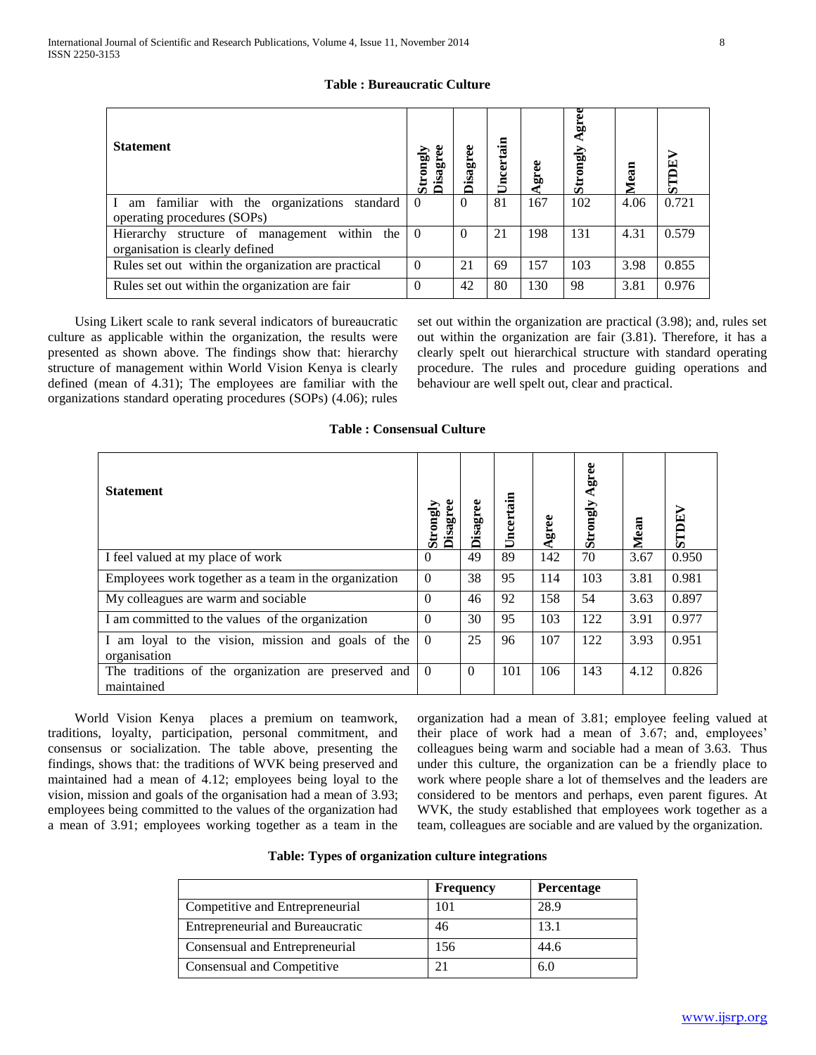| <b>Statement</b>                                    | <b>Disagree</b><br>Strongly | <b>Disagree</b> | ertain<br>Я<br>Ë | ā,  | Agree<br>Strongly | Mean | <b>STDE</b> |
|-----------------------------------------------------|-----------------------------|-----------------|------------------|-----|-------------------|------|-------------|
| am familiar with the organizations<br>standard      | $\Omega$                    | $\theta$        | 81               | 167 | 102               | 4.06 | 0.721       |
| operating procedures (SOPs)                         |                             |                 |                  |     |                   |      |             |
| Hierarchy structure of management within the        |                             | $\Omega$        | 21               | 198 | 131               | 4.31 | 0.579       |
| organisation is clearly defined                     |                             |                 |                  |     |                   |      |             |
| Rules set out within the organization are practical | $\theta$                    | 21              | 69               | 157 | 103               | 3.98 | 0.855       |
| Rules set out within the organization are fair      |                             | 42              | 80               | 130 | 98                | 3.81 | 0.976       |

# **Table : Bureaucratic Culture**

 Using Likert scale to rank several indicators of bureaucratic culture as applicable within the organization, the results were presented as shown above. The findings show that: hierarchy structure of management within World Vision Kenya is clearly defined (mean of 4.31); The employees are familiar with the organizations standard operating procedures (SOPs) (4.06); rules

set out within the organization are practical (3.98); and, rules set out within the organization are fair (3.81). Therefore, it has a clearly spelt out hierarchical structure with standard operating procedure. The rules and procedure guiding operations and behaviour are well spelt out, clear and practical.

| <b>Statement</b>                                                   | <b>Disagree</b><br>Strongly | Disagree | Uncertain | Agree | gree<br>Strongly | Mean | <b>STDEV</b> |
|--------------------------------------------------------------------|-----------------------------|----------|-----------|-------|------------------|------|--------------|
| I feel valued at my place of work                                  | $\theta$                    | 49       | 89        | 142   | 70               | 3.67 | 0.950        |
| Employees work together as a team in the organization              | $\theta$                    | 38       | 95        | 114   | 103              | 3.81 | 0.981        |
| My colleagues are warm and sociable                                | $\theta$                    | 46       | 92        | 158   | 54               | 3.63 | 0.897        |
| I am committed to the values of the organization                   | $\Omega$                    | 30       | 95        | 103   | 122              | 3.91 | 0.977        |
| I am loyal to the vision, mission and goals of the<br>organisation | $\theta$                    | 25       | 96        | 107   | 122              | 3.93 | 0.951        |
| The traditions of the organization are preserved and<br>maintained | $\Omega$                    | $\Omega$ | 101       | 106   | 143              | 4.12 | 0.826        |

**Table : Consensual Culture**

 World Vision Kenya places a premium on teamwork, traditions, loyalty, participation, personal commitment, and consensus or socialization. The table above, presenting the findings, shows that: the traditions of WVK being preserved and maintained had a mean of 4.12; employees being loyal to the vision, mission and goals of the organisation had a mean of 3.93; employees being committed to the values of the organization had a mean of 3.91; employees working together as a team in the organization had a mean of 3.81; employee feeling valued at their place of work had a mean of 3.67; and, employees' colleagues being warm and sociable had a mean of 3.63. Thus under this culture, the organization can be a friendly place to work where people share a lot of themselves and the leaders are considered to be mentors and perhaps, even parent figures. At WVK, the study established that employees work together as a team, colleagues are sociable and are valued by the organization.

| Table: Types of organization culture integrations |
|---------------------------------------------------|
|---------------------------------------------------|

|                                         | <b>Frequency</b> | <b>Percentage</b> |
|-----------------------------------------|------------------|-------------------|
| Competitive and Entrepreneurial         | 101              | 28.9              |
| <b>Entrepreneurial and Bureaucratic</b> | 46               | 13.1              |
| Consensual and Entrepreneurial          | 156              | 44.6              |
| Consensual and Competitive              | 2 <sub>1</sub>   | 6.0               |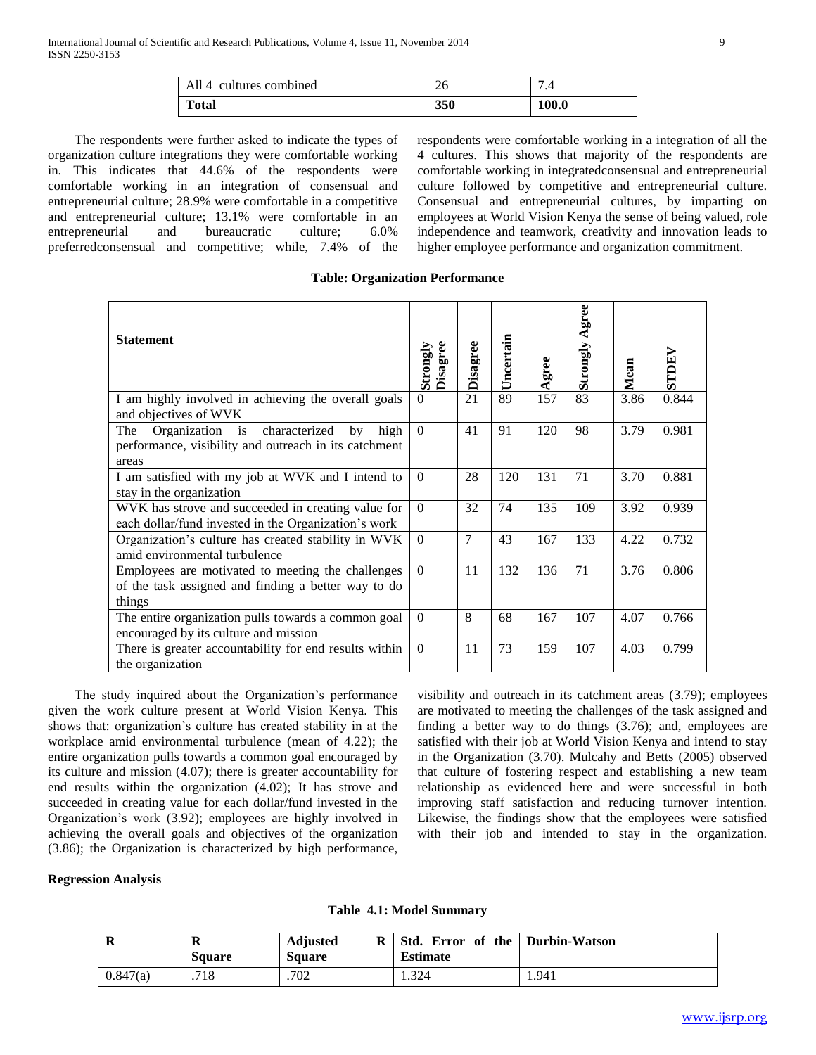| All 4 cultures combined | 26  |       |
|-------------------------|-----|-------|
| <b>Total</b>            | 350 | 100.0 |

 The respondents were further asked to indicate the types of organization culture integrations they were comfortable working in. This indicates that 44.6% of the respondents were comfortable working in an integration of consensual and entrepreneurial culture; 28.9% were comfortable in a competitive and entrepreneurial culture; 13.1% were comfortable in an entrepreneurial and bureaucratic culture; 6.0% preferredconsensual and competitive; while, 7.4% of the

respondents were comfortable working in a integration of all the 4 cultures. This shows that majority of the respondents are comfortable working in integratedconsensual and entrepreneurial culture followed by competitive and entrepreneurial culture. Consensual and entrepreneurial cultures, by imparting on employees at World Vision Kenya the sense of being valued, role independence and teamwork, creativity and innovation leads to higher employee performance and organization commitment.

|  |  | <b>Table: Organization Performance</b> |
|--|--|----------------------------------------|
|--|--|----------------------------------------|

| <b>Statement</b>                                                                                                     | <b>Disagree</b><br>Strongly | Disagree       | Uncertain | Agree | Agree<br>Strongly | Mean | STDEV |
|----------------------------------------------------------------------------------------------------------------------|-----------------------------|----------------|-----------|-------|-------------------|------|-------|
| I am highly involved in achieving the overall goals<br>and objectives of WVK                                         | $\Omega$                    | 21             | 89        | 157   | 83                | 3.86 | 0.844 |
| Organization is characterized<br>high<br>by<br>The<br>performance, visibility and outreach in its catchment<br>areas | $\Omega$                    | 41             | 91        | 120   | 98                | 3.79 | 0.981 |
| I am satisfied with my job at WVK and I intend to<br>stay in the organization                                        | $\theta$                    | 28             | 120       | 131   | 71                | 3.70 | 0.881 |
| WVK has strove and succeeded in creating value for<br>each dollar/fund invested in the Organization's work           | $\theta$                    | 32             | 74        | 135   | 109               | 3.92 | 0.939 |
| Organization's culture has created stability in WVK<br>amid environmental turbulence                                 | $\theta$                    | $\overline{7}$ | 43        | 167   | 133               | 4.22 | 0.732 |
| Employees are motivated to meeting the challenges<br>of the task assigned and finding a better way to do<br>things   | $\Omega$                    | 11             | 132       | 136   | 71                | 3.76 | 0.806 |
| The entire organization pulls towards a common goal<br>encouraged by its culture and mission                         | $\Omega$                    | 8              | 68        | 167   | 107               | 4.07 | 0.766 |
| There is greater accountability for end results within<br>the organization                                           | $\theta$                    | 11             | 73        | 159   | 107               | 4.03 | 0.799 |

 The study inquired about the Organization"s performance given the work culture present at World Vision Kenya. This shows that: organization"s culture has created stability in at the workplace amid environmental turbulence (mean of 4.22); the entire organization pulls towards a common goal encouraged by its culture and mission (4.07); there is greater accountability for end results within the organization (4.02); It has strove and succeeded in creating value for each dollar/fund invested in the Organization"s work (3.92); employees are highly involved in achieving the overall goals and objectives of the organization (3.86); the Organization is characterized by high performance,

visibility and outreach in its catchment areas (3.79); employees are motivated to meeting the challenges of the task assigned and finding a better way to do things (3.76); and, employees are satisfied with their job at World Vision Kenya and intend to stay in the Organization (3.70). Mulcahy and Betts (2005) observed that culture of fostering respect and establishing a new team relationship as evidenced here and were successful in both improving staff satisfaction and reducing turnover intention. Likewise, the findings show that the employees were satisfied with their job and intended to stay in the organization.

# **Regression Analysis**

**Table 4.1: Model Summary**

| $\bf R$  | л<br><b>Square</b> | <b>Adjusted</b><br>R<br><b>Square</b> | Std. Error of the Durbin-Watson<br><b>Estimate</b> |       |
|----------|--------------------|---------------------------------------|----------------------------------------------------|-------|
| 0.847(a) | .718               | .702                                  | 1.324                                              | 1.941 |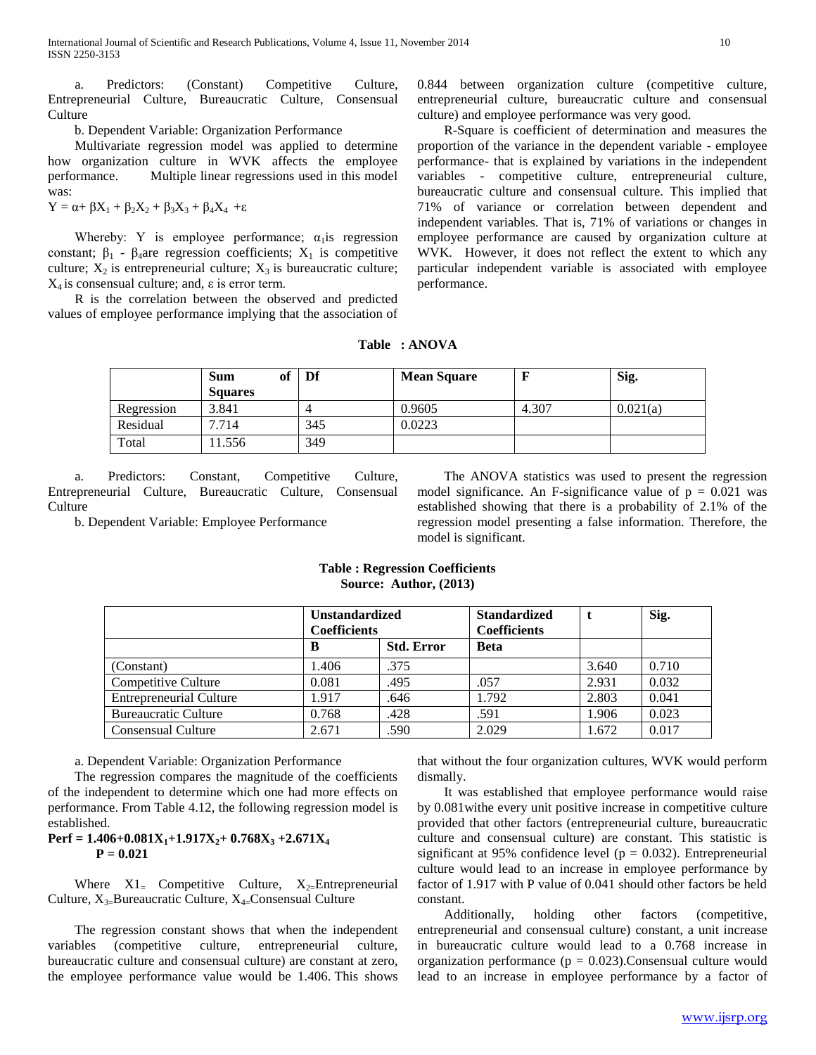a. Predictors: (Constant) Competitive Culture, Entrepreneurial Culture, Bureaucratic Culture, Consensual Culture

b. Dependent Variable: Organization Performance

 Multivariate regression model was applied to determine how organization culture in WVK affects the employee performance. Multiple linear regressions used in this model was:

 $Y = \alpha + \beta X_1 + \beta_2 X_2 + \beta_3 X_3 + \beta_4 X_4 + \epsilon$ 

Whereby: Y is employee performance;  $\alpha_1$  is regression constant;  $\beta_1$  -  $\beta_4$ are regression coefficients;  $X_1$  is competitive culture;  $X_2$  is entrepreneurial culture;  $X_3$  is bureaucratic culture;  $X_4$  is consensual culture; and,  $\varepsilon$  is error term.

 R is the correlation between the observed and predicted values of employee performance implying that the association of 0.844 between organization culture (competitive culture, entrepreneurial culture, bureaucratic culture and consensual culture) and employee performance was very good.

 R-Square is coefficient of determination and measures the proportion of the variance in the dependent variable - employee performance- that is explained by variations in the independent variables - competitive culture, entrepreneurial culture, bureaucratic culture and consensual culture. This implied that 71% of variance or correlation between dependent and independent variables. That is, 71% of variations or changes in employee performance are caused by organization culture at WVK. However, it does not reflect the extent to which any particular independent variable is associated with employee performance.

| Table |  | : ANOVA |  |
|-------|--|---------|--|
|-------|--|---------|--|

|            | of<br><b>Sum</b><br><b>Squares</b> | Df  | <b>Mean Square</b> |       | Sig.     |
|------------|------------------------------------|-----|--------------------|-------|----------|
| Regression | 3.841                              |     | 0.9605             | 4.307 | 0.021(a) |
| Residual   | 7.714                              | 345 | 0.0223             |       |          |
| Total      | 11.556                             | 349 |                    |       |          |

 a. Predictors: Constant, Competitive Culture, Entrepreneurial Culture, Bureaucratic Culture, Consensual **Culture** 

b. Dependent Variable: Employee Performance

 The ANOVA statistics was used to present the regression model significance. An F-significance value of  $p = 0.021$  was established showing that there is a probability of 2.1% of the regression model presenting a false information. Therefore, the model is significant.

# **Table : Regression Coefficients Source: Author, (2013)**

|                                | <b>Unstandardized</b><br><b>Coefficients</b> |                   | <b>Standardized</b><br><b>Coefficients</b> |       | Sig.  |
|--------------------------------|----------------------------------------------|-------------------|--------------------------------------------|-------|-------|
|                                | B                                            | <b>Std. Error</b> | <b>Beta</b>                                |       |       |
| (Constant)                     | 1.406                                        | .375              |                                            | 3.640 | 0.710 |
| Competitive Culture            | 0.081                                        | .495              | .057                                       | 2.931 | 0.032 |
| <b>Entrepreneurial Culture</b> | 1.917                                        | .646              | 1.792                                      | 2.803 | 0.041 |
| <b>Bureaucratic Culture</b>    | 0.768                                        | .428              | .591                                       | 1.906 | 0.023 |
| <b>Consensual Culture</b>      | 2.671                                        | .590              | 2.029                                      | 1.672 | 0.017 |

a. Dependent Variable: Organization Performance

 The regression compares the magnitude of the coefficients of the independent to determine which one had more effects on performance. From Table 4.12, the following regression model is established.

# **Perf** =  $1.406+0.081X_1+1.917X_2+0.768X_3+2.671X_4$ **P = 0.021**

Where  $X1 =$  Competitive Culture,  $X_2 =$ Entrepreneurial Culture,  $X_{3}$ =Bureaucratic Culture,  $X_{4}$ =Consensual Culture

 The regression constant shows that when the independent variables (competitive culture, entrepreneurial culture, bureaucratic culture and consensual culture) are constant at zero, the employee performance value would be 1.406. This shows that without the four organization cultures, WVK would perform dismally.

 It was established that employee performance would raise by 0.081withe every unit positive increase in competitive culture provided that other factors (entrepreneurial culture, bureaucratic culture and consensual culture) are constant. This statistic is significant at 95% confidence level ( $p = 0.032$ ). Entrepreneurial culture would lead to an increase in employee performance by factor of 1.917 with P value of 0.041 should other factors be held constant.

 Additionally, holding other factors (competitive, entrepreneurial and consensual culture) constant, a unit increase in bureaucratic culture would lead to a 0.768 increase in organization performance ( $p = 0.023$ ). Consensual culture would lead to an increase in employee performance by a factor of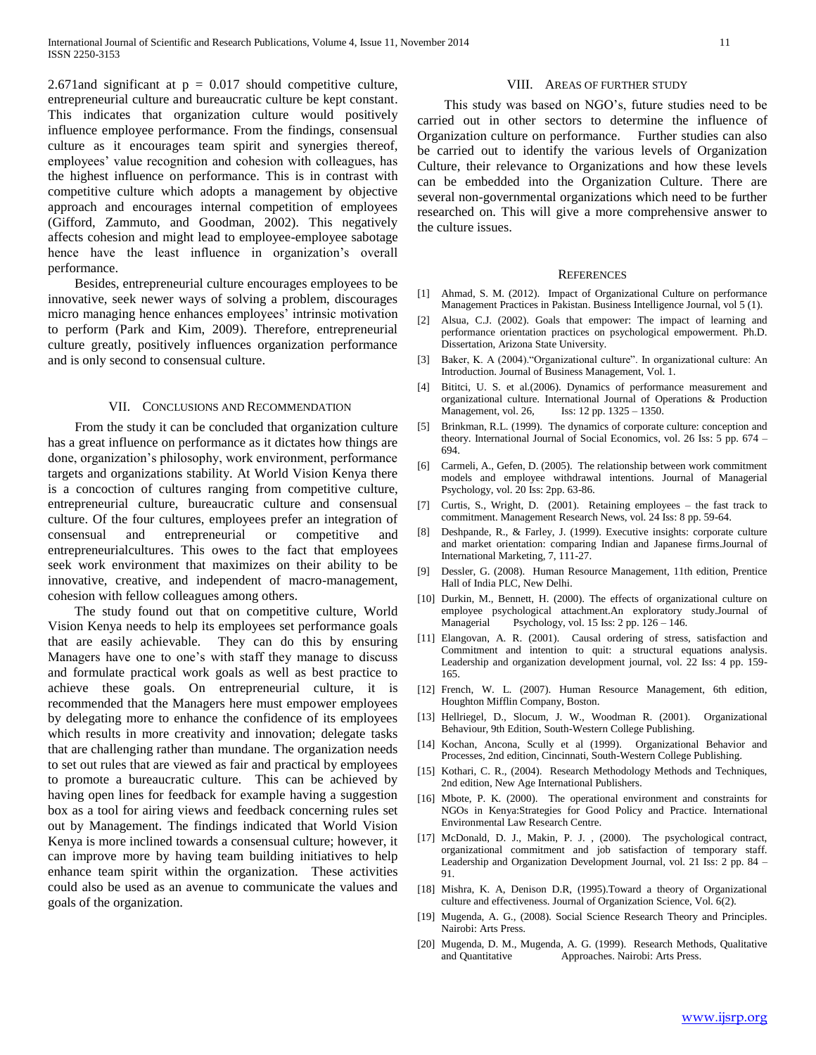2.671 and significant at  $p = 0.017$  should competitive culture, entrepreneurial culture and bureaucratic culture be kept constant. This indicates that organization culture would positively influence employee performance. From the findings, consensual culture as it encourages team spirit and synergies thereof, employees' value recognition and cohesion with colleagues, has the highest influence on performance. This is in contrast with competitive culture which adopts a management by objective approach and encourages internal competition of employees (Gifford, Zammuto, and Goodman, 2002). This negatively affects cohesion and might lead to employee-employee sabotage hence have the least influence in organization's overall performance.

 Besides, entrepreneurial culture encourages employees to be innovative, seek newer ways of solving a problem, discourages micro managing hence enhances employees" intrinsic motivation to perform (Park and Kim, 2009). Therefore, entrepreneurial culture greatly, positively influences organization performance and is only second to consensual culture.

#### VII. CONCLUSIONS AND RECOMMENDATION

 From the study it can be concluded that organization culture has a great influence on performance as it dictates how things are done, organization"s philosophy, work environment, performance targets and organizations stability. At World Vision Kenya there is a concoction of cultures ranging from competitive culture, entrepreneurial culture, bureaucratic culture and consensual culture. Of the four cultures, employees prefer an integration of consensual and entrepreneurial or competitive and entrepreneurialcultures. This owes to the fact that employees seek work environment that maximizes on their ability to be innovative, creative, and independent of macro-management, cohesion with fellow colleagues among others.

 The study found out that on competitive culture, World Vision Kenya needs to help its employees set performance goals that are easily achievable. They can do this by ensuring Managers have one to one"s with staff they manage to discuss and formulate practical work goals as well as best practice to achieve these goals. On entrepreneurial culture, it is recommended that the Managers here must empower employees by delegating more to enhance the confidence of its employees which results in more creativity and innovation; delegate tasks that are challenging rather than mundane. The organization needs to set out rules that are viewed as fair and practical by employees to promote a bureaucratic culture. This can be achieved by having open lines for feedback for example having a suggestion box as a tool for airing views and feedback concerning rules set out by Management. The findings indicated that World Vision Kenya is more inclined towards a consensual culture; however, it can improve more by having team building initiatives to help enhance team spirit within the organization. These activities could also be used as an avenue to communicate the values and goals of the organization.

#### VIII. AREAS OF FURTHER STUDY

 This study was based on NGO"s, future studies need to be carried out in other sectors to determine the influence of Organization culture on performance. Further studies can also be carried out to identify the various levels of Organization Culture, their relevance to Organizations and how these levels can be embedded into the Organization Culture. There are several non-governmental organizations which need to be further researched on. This will give a more comprehensive answer to the culture issues.

#### **REFERENCES**

- [1] Ahmad, S. M. (2012). Impact of Organizational Culture on performance Management Practices in Pakistan. Business Intelligence Journal, vol 5 (1).
- [2] Alsua, C.J. (2002). Goals that empower: The impact of learning and performance orientation practices on psychological empowerment. Ph.D. Dissertation, Arizona State University.
- [3] Baker, K. A (2004)."Organizational culture". In organizational culture: An Introduction. Journal of Business Management, Vol. 1.
- [4] Bititci, U. S. et al.(2006). Dynamics of performance measurement and organizational culture. International Journal of Operations & Production Management, vol. 26, Iss: 12 pp. 1325 – 1350.
- [5] Brinkman, R.L. (1999). The dynamics of corporate culture: conception and theory. International Journal of Social Economics, vol. 26 Iss: 5 pp. 674 – 694.
- [6] Carmeli, A., Gefen, D. (2005). The relationship between work commitment models and employee withdrawal intentions. Journal of Managerial Psychology, vol. 20 Iss: 2pp. 63-86.
- [7] Curtis, S., Wright, D. (2001). Retaining employees the fast track to commitment. Management Research News, vol. 24 Iss: 8 pp. 59-64.
- [8] Deshpande, R., & Farley, J. (1999). Executive insights: corporate culture and market orientation: comparing Indian and Japanese firms.Journal of International Marketing, 7, 111-27.
- [9] Dessler, G. (2008). Human Resource Management, 11th edition, Prentice Hall of India PLC, New Delhi.
- [10] Durkin, M., Bennett, H. (2000). The effects of organizational culture on employee psychological attachment.An exploratory study.Journal of Managerial Psychology, vol. 15 Iss: 2 pp. 126 – 146.
- [11] Elangovan, A. R. (2001). Causal ordering of stress, satisfaction and Commitment and intention to quit: a structural equations analysis. Leadership and organization development journal, vol. 22 Iss: 4 pp. 159- 165.
- [12] French, W. L. (2007). Human Resource Management, 6th edition, Houghton Mifflin Company, Boston.
- [13] Hellriegel, D., Slocum, J. W., Woodman R. (2001). Organizational Behaviour, 9th Edition, South-Western College Publishing.
- [14] Kochan, Ancona, Scully et al (1999). Organizational Behavior and Processes, 2nd edition, Cincinnati, South-Western College Publishing.
- [15] Kothari, C. R., (2004). Research Methodology Methods and Techniques, 2nd edition, New Age International Publishers.
- [16] Mbote, P. K. (2000). The operational environment and constraints for NGOs in Kenya:Strategies for Good Policy and Practice. International Environmental Law Research Centre.
- [17] McDonald, D. J., Makin, P. J. , (2000). The psychological contract, organizational commitment and job satisfaction of temporary staff. Leadership and Organization Development Journal, vol. 21 Iss: 2 pp. 84 – 91.
- [18] Mishra, K. A, Denison D.R, (1995).Toward a theory of Organizational culture and effectiveness. Journal of Organization Science, Vol. 6(2).
- [19] Mugenda, A. G., (2008). Social Science Research Theory and Principles. Nairobi: Arts Press.
- [20] Mugenda, D. M., Mugenda, A. G. (1999). Research Methods, Qualitative and Quantitative Approaches. Nairobi: Arts Press.